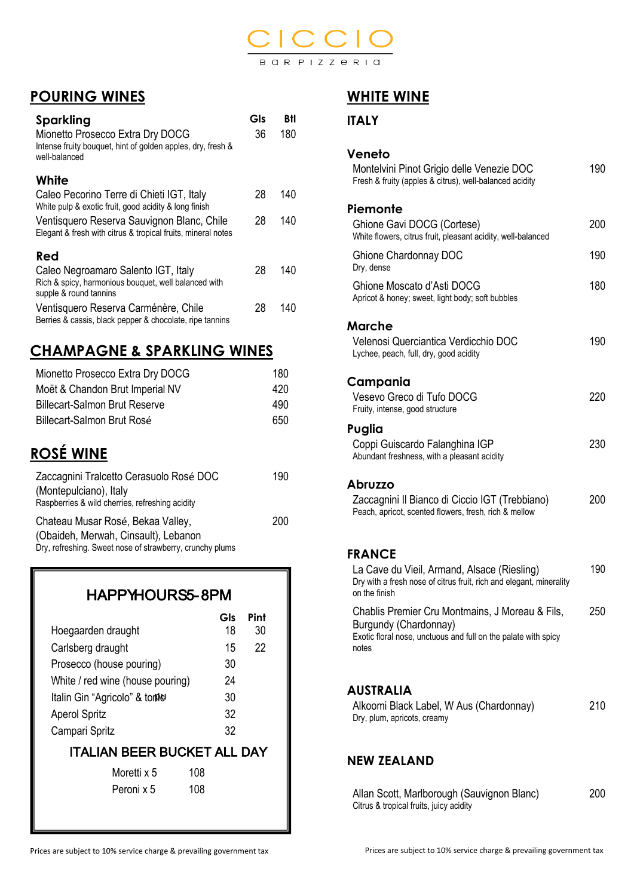

### **POURING WINES**

| Sparkling<br>Mionetto Prosecco Extra Dry DOCG<br>Intense fruity bouquet, hint of golden apples, dry, fresh &<br>well-balanced | Gls<br>36 | BĦ<br>180 |
|-------------------------------------------------------------------------------------------------------------------------------|-----------|-----------|
| White<br>Caleo Pecorino Terre di Chieti IGT, Italy                                                                            | 28        | 140       |
| White pulp & exotic fruit, good acidity & long finish                                                                         |           |           |
| Ventisquero Reserva Sauvignon Blanc, Chile<br>Elegant & fresh with citrus & tropical fruits, mineral notes                    | 28        | 140       |
| Red                                                                                                                           |           |           |
| Caleo Negroamaro Salento IGT, Italy<br>Rich & spicy, harmonious bouquet, well balanced with<br>supple & round tannins         | 28        | 140       |
| Ventisquero Reserva Carménère, Chile<br>Berries & cassis, black pepper & chocolate, ripe tannins                              | 28        | 140       |

### **CHAMPAGNE & SPARKLING WINES**

| Mionetto Prosecco Extra Dry DOCG     | 180 |
|--------------------------------------|-----|
| Moët & Chandon Brut Imperial NV      | 420 |
| <b>Billecart-Salmon Brut Reserve</b> | 490 |
| Billecart-Salmon Brut Rosé           | 650 |

# **ROSÉ WINE**

| Zaccagnini Tralcetto Cerasuolo Rosé DOC<br>(Montepulciano), Italy<br>Raspberries & wild cherries, refreshing acidity                  | 190 |
|---------------------------------------------------------------------------------------------------------------------------------------|-----|
| Chateau Musar Rosé, Bekaa Valley,<br>(Obaideh, Merwah, Cinsault), Lebanon<br>Dry, refreshing. Sweet nose of strawberry, crunchy plums | 200 |

#### HAPPYHOURS5-8PM

|                                    | Gls | Pint |
|------------------------------------|-----|------|
| Hoegaarden draught                 | 18  | 30   |
| Carlsberg draught                  | 15  | 22   |
| Prosecco (house pouring)           | 30  |      |
| White / red wine (house pouring)   | 24  |      |
| Italin Gin "Agricolo" & tome       | 30  |      |
| <b>Aperol Spritz</b>               | 32  |      |
| Campari Spritz                     | 32  |      |
| <b>ITALIAN BEER BUCKET ALL DAY</b> |     |      |
| 108<br>Moretti x 5                 |     |      |
| 108<br>Peroni x 5                  |     |      |

### **WHITE WINE**

#### **ITALY**

| Veneto                                                                                                                                              |     |
|-----------------------------------------------------------------------------------------------------------------------------------------------------|-----|
| Montelvini Pinot Grigio delle Venezie DOC<br>Fresh & fruity (apples & citrus), well-balanced acidity                                                | 190 |
| Piemonte                                                                                                                                            |     |
| Ghione Gavi DOCG (Cortese)<br>White flowers, citrus fruit, pleasant acidity, well-balanced                                                          | 200 |
| Ghione Chardonnay DOC<br>Dry, dense                                                                                                                 | 190 |
| Ghione Moscato d'Asti DOCG<br>Apricot & honey; sweet, light body; soft bubbles                                                                      | 180 |
| Marche                                                                                                                                              |     |
| Velenosi Querciantica Verdicchio DOC<br>Lychee, peach, full, dry, good acidity                                                                      | 190 |
| Campania                                                                                                                                            |     |
| Vesevo Greco di Tufo DOCG<br>Fruity, intense, good structure                                                                                        | 220 |
| Puglia                                                                                                                                              |     |
| Coppi Guiscardo Falanghina IGP<br>Abundant freshness, with a pleasant acidity                                                                       | 230 |
| Abruzzo                                                                                                                                             |     |
| Zaccagnini Il Bianco di Ciccio IGT (Trebbiano)<br>Peach, apricot, scented flowers, fresh, rich & mellow                                             | 200 |
| <b>FRANCE</b>                                                                                                                                       |     |
| La Cave du Vieil, Armand, Alsace (Riesling)<br>Dry with a fresh nose of citrus fruit, rich and elegant, minerality<br>on the finish                 | 190 |
| Chablis Premier Cru Montmains, J Moreau & Fils,<br>Burgundy (Chardonnay)<br>Exotic floral nose, unctuous and full on the palate with spicy<br>notes | 250 |

#### **AUSTRALIA**

| Alkoomi Black Label, W Aus (Chardonnay) | 210 |
|-----------------------------------------|-----|
| Dry, plum, apricots, creamy             |     |

#### **NEW ZEALAND**

| Allan Scott, Marlborough (Sauvignon Blanc) | 200 |
|--------------------------------------------|-----|
| Citrus & tropical fruits, juicy acidity    |     |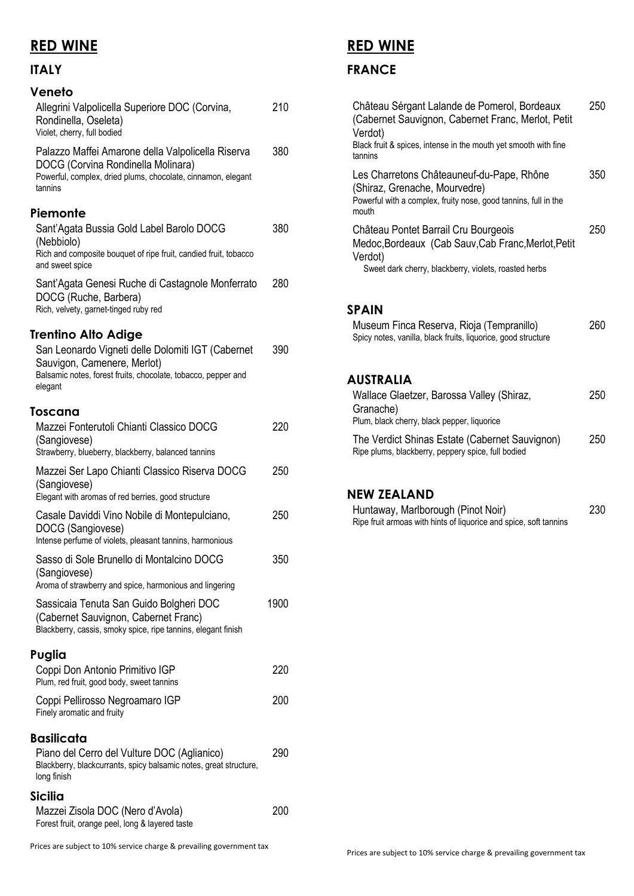### **RED WINE**

### **ITALY**

| Veneto                                                                                                                                                             |      |
|--------------------------------------------------------------------------------------------------------------------------------------------------------------------|------|
| Allegrini Valpolicella Superiore DOC (Corvina,<br>Rondinella, Oseleta)<br>Violet, cherry, full bodied                                                              | 210  |
| Palazzo Maffei Amarone della Valpolicella Riserva<br>DOCG (Corvina Rondinella Molinara)<br>Powerful, complex, dried plums, chocolate, cinnamon, elegant<br>tannins | 380  |
| Piemonte                                                                                                                                                           |      |
| Sant'Agata Bussia Gold Label Barolo DOCG<br>(Nebbiolo)<br>Rich and composite bouquet of ripe fruit, candied fruit, tobacco<br>and sweet spice                      | 380  |
| Sant'Agata Genesi Ruche di Castagnole Monferrato<br>DOCG (Ruche, Barbera)<br>Rich, velvety, garnet-tinged ruby red                                                 | 280  |
| <b>Trentino Alto Adige</b>                                                                                                                                         |      |
| San Leonardo Vigneti delle Dolomiti IGT (Cabernet<br>Sauvigon, Camenere, Merlot)<br>Balsamic notes, forest fruits, chocolate, tobacco, pepper and<br>elegant       | 390  |
| Toscana                                                                                                                                                            |      |
| Mazzei Fonterutoli Chianti Classico DOCG<br>(Sangiovese)<br>Strawberry, blueberry, blackberry, balanced tannins                                                    | 220  |
|                                                                                                                                                                    | 250  |
| Mazzei Ser Lapo Chianti Classico Riserva DOCG<br>(Sangiovese)<br>Elegant with aromas of red berries, good structure                                                |      |
| Casale Daviddi Vino Nobile di Montepulciano,<br>DOCG (Sangiovese)<br>Intense perfume of violets, pleasant tannins, harmonious                                      | 250  |
| Sasso di Sole Brunello di Montalcino DOCG<br>(Sangiovese)<br>Aroma of strawberry and spice, harmonious and lingering                                               | 350  |
| Sassicaia Tenuta San Guido Bolgheri DOC<br>(Cabernet Sauvignon, Cabernet Franc)<br>Blackberry, cassis, smoky spice, ripe tannins, elegant finish                   | 1900 |
| Puglia                                                                                                                                                             |      |
| Coppi Don Antonio Primitivo IGP<br>Plum, red fruit, good body, sweet tannins                                                                                       | 220  |
| Coppi Pellirosso Negroamaro IGP<br>Finely aromatic and fruity                                                                                                      | 200  |
| <b>Basilicata</b>                                                                                                                                                  |      |
| Piano del Cerro del Vulture DOC (Aglianico)<br>Blackberry, blackcurrants, spicy balsamic notes, great structure,<br>long finish                                    | 290  |
| <b>Sicilia</b>                                                                                                                                                     |      |
| Mazzei Zisola DOC (Nero d'Avola)<br>Forest fruit, orange peel, long & layered taste                                                                                | 200  |

### **RED WINE**

### **FRANCE**

| Château Sérgant Lalande de Pomerol, Bordeaux<br>(Cabernet Sauvignon, Cabernet Franc, Merlot, Petit<br>Verdot)<br>Black fruit & spices, intense in the mouth yet smooth with fine<br>tannins | 250 |
|---------------------------------------------------------------------------------------------------------------------------------------------------------------------------------------------|-----|
| Les Charretons Châteauneuf-du-Pape, Rhône<br>(Shiraz, Grenache, Mourvedre)<br>Powerful with a complex, fruity nose, good tannins, full in the<br>mouth                                      | 350 |
| Château Pontet Barrail Cru Bourgeois<br>Medoc, Bordeaux (Cab Sauv, Cab Franc, Merlot, Petit<br>Verdot)<br>Sweet dark cherry, blackberry, violets, roasted herbs                             | 250 |

#### **SPAIN**

| Museum Finca Reserva, Rioja (Tempranillo)                     | 260 |
|---------------------------------------------------------------|-----|
| Spicy notes, vanilla, black fruits, liquorice, good structure |     |

#### **AUSTRALIA**

| Wallace Glaetzer, Barossa Valley (Shiraz,                                                            | 250 |
|------------------------------------------------------------------------------------------------------|-----|
| Granache)                                                                                            |     |
| Plum, black cherry, black pepper, liquorice                                                          |     |
| The Verdict Shinas Estate (Cabernet Sauvignon)<br>Ripe plums, blackberry, peppery spice, full bodied | 250 |

#### **NEW ZEALAND**

| Huntaway, Marlborough (Pinot Noir)                                | 230 |
|-------------------------------------------------------------------|-----|
| Ripe fruit armoas with hints of liquorice and spice, soft tannins |     |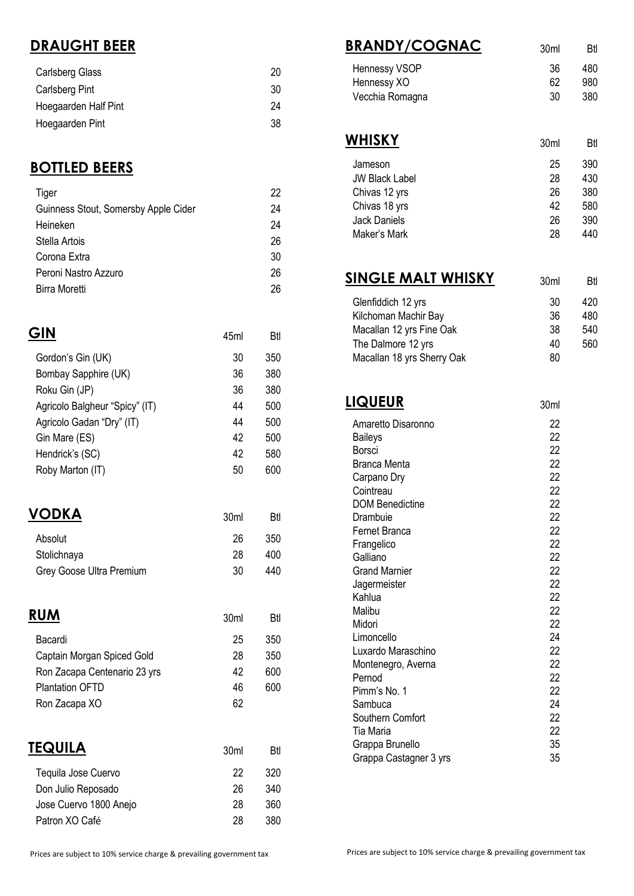# **DRAUGHT BEER**

| <b>Carlsberg Glass</b> | 20 |
|------------------------|----|
| Carlsberg Pint         | 30 |
| Hoegaarden Half Pint   | 24 |
| Hoegaarden Pint        | 38 |

### **BOTTLED BEERS**

| Tiger                                | 22 |
|--------------------------------------|----|
| Guinness Stout, Somersby Apple Cider | 24 |
| Heineken                             | 24 |
| Stella Artois                        | 26 |
| Corona Extra                         | 30 |
| Peroni Nastro Azzuro                 | 26 |
| Birra Moretti                        | 26 |

|                                | 45ml | Btl |
|--------------------------------|------|-----|
| Gordon's Gin (UK)              | 30   | 350 |
| Bombay Sapphire (UK)           | 36   | 380 |
| Roku Gin (JP)                  | 36   | 380 |
| Agricolo Balgheur "Spicy" (IT) | 44   | 500 |
| Agricolo Gadan "Dry" (IT)      | 44   | 500 |
| Gin Mare (ES)                  | 42   | 500 |
| Hendrick's (SC)                | 42   | 580 |
| Roby Marton (IT)               | 50   | 600 |
|                                |      |     |
| <b>JDKA</b>                    | 30ml | Btl |

| $\mathbf{v}$ $\mathbf{v}$ $\mathbf{v}$ | JUIII | DU  |
|----------------------------------------|-------|-----|
| Absolut                                | 26    | 350 |
| Stolichnaya                            | 28    | 400 |
| Grey Goose Ultra Premium               | 30    | 440 |
|                                        |       |     |

| <b>RUM</b>                   | 30 <sub>ml</sub> | Btl |
|------------------------------|------------------|-----|
| Bacardi                      | 25               | 350 |
| Captain Morgan Spiced Gold   | 28               | 350 |
| Ron Zacapa Centenario 23 yrs | 42               | 600 |
| <b>Plantation OFTD</b>       | 46               | 600 |
| Ron Zacapa XO                | 62               |     |
| TEQUILA                      | 30 <sub>m</sub>  | Btl |

| Tequila Jose Cuervo    | 22 | 320 |
|------------------------|----|-----|
| Don Julio Reposado     | 26 | 340 |
| Jose Cuervo 1800 Anejo | 28 | 360 |
| Patron XO Café         | 28 | 380 |

| <u> BRANDY/COGNAC</u>      | 30 <sub>ml</sub> | Btl |
|----------------------------|------------------|-----|
| Hennessy VSOP              | 36               | 480 |
| Hennessy XO                | 62               | 980 |
| Vecchia Romagna            | 30               | 380 |
|                            |                  |     |
| <b>WHISKY</b>              | 30 <sub>ml</sub> | Btl |
| Jameson                    | 25               | 390 |
| <b>JW Black Label</b>      | 28               | 430 |
| Chivas 12 yrs              | 26               | 380 |
| Chivas 18 yrs              | 42               | 580 |
| <b>Jack Daniels</b>        | 26               | 390 |
| Maker's Mark               | 28               | 440 |
| <u>SINGLE MALT WHISKY</u>  | 30 <sub>ml</sub> | Btl |
|                            |                  |     |
| Glenfiddich 12 yrs         | 30               | 420 |
| Kilchoman Machir Bay       | 36               | 480 |
| Macallan 12 yrs Fine Oak   | 38               | 540 |
| The Dalmore 12 yrs         | 40               | 560 |
| Macallan 18 yrs Sherry Oak | 80               |     |
| <u>LIQUEUR</u>             | 30ml             |     |
| Amaretto Disaronno         | 22               |     |
| <b>Baileys</b>             | 22               |     |
| <b>Borsci</b>              | 22               |     |
| Branca Menta               | 22               |     |
| Carpano Dry                | 22               |     |
| Cointreau                  | 22               |     |
| <b>DOM Benedictine</b>     | 22               |     |
| Drambuie                   | 22               |     |
| Fernet Branca              | 22               |     |
| Frangelico                 | 22               |     |
| Galliano                   | 22               |     |
| <b>Grand Marnier</b>       | 22               |     |
| Jagermeister               | 22               |     |
| Kahlua                     | 22               |     |
| Malibu<br>Midori           | 22<br>22         |     |
| Limoncello                 | 24               |     |
| Luxardo Maraschino         | 22               |     |
| Montenegro, Averna         | 22               |     |
| Pernod                     | 22               |     |
| Pimm's No. 1               | 22               |     |
| Sambuca                    | 24               |     |
| Southern Comfort           | 22               |     |
| Tia Maria                  | 22               |     |
| Grappa Brunello            | 35               |     |
| Grappa Castagner 3 yrs     | 35               |     |

Grappa Castagner 3 yrs